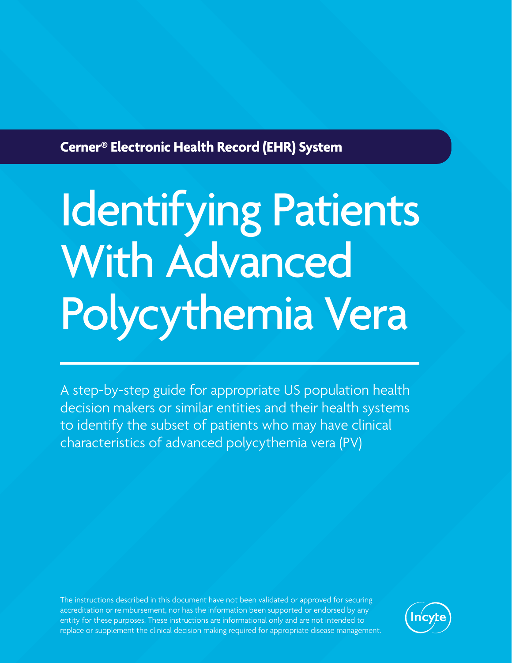**Cerner® Electronic Health Record (EHR) System**

## Identifying Patients With Advanced Polycythemia Vera

A step-by-step guide for appropriate US population health decision makers or similar entities and their health systems to identify the subset of patients who may have clinical characteristics of advanced polycythemia vera (PV)

The instructions described in this document have not been validated or approved for securing accreditation or reimbursement, nor has the information been supported or endorsed by any entity for these purposes. These instructions are informational only and are not intended to replace or supplement the clinical decision making required for appropriate disease management.

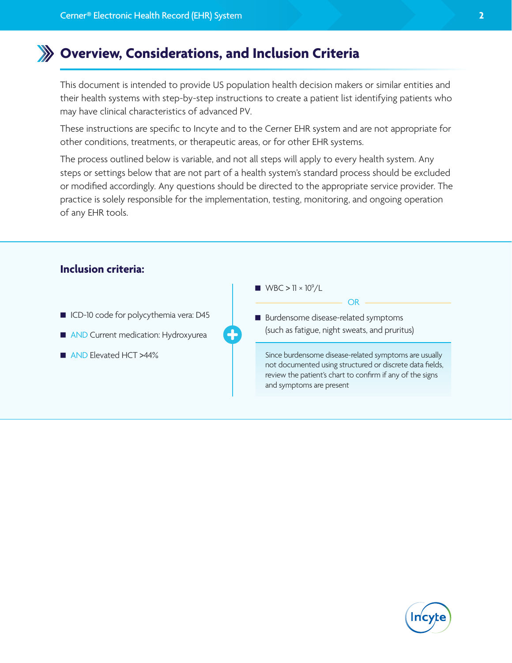## **Overview, Considerations, and Inclusion Criteria**

This document is intended to provide US population health decision makers or similar entities and their health systems with step-by-step instructions to create a patient list identifying patients who may have clinical characteristics of advanced PV.

These instructions are specific to Incyte and to the Cerner EHR system and are not appropriate for other conditions, treatments, or therapeutic areas, or for other EHR systems.

The process outlined below is variable, and not all steps will apply to every health system. Any steps or settings below that are not part of a health system's standard process should be excluded or modified accordingly. Any questions should be directed to the appropriate service provider. The practice is solely responsible for the implementation, testing, monitoring, and ongoing operation of any EHR tools.



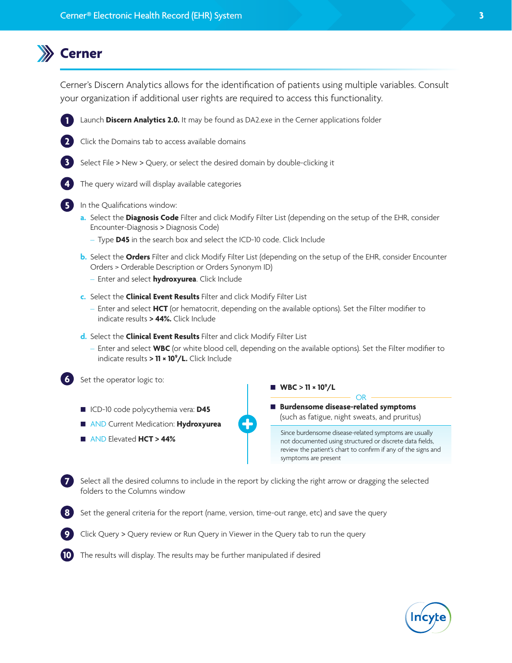## **Cerner**

**2**

**3**

**4**

**5**

**6**

**8**

Cerner's Discern Analytics allows for the identification of patients using multiple variables. Consult your organization if additional user rights are required to access this functionality.



- Select File > New > Query, or select the desired domain by double-clicking it
- The query wizard will display available categories
- In the Qualifications window:
	- **a.** Select the **Diagnosis Code** Filter and click Modify Filter List (depending on the setup of the EHR, consider Encounter-Diagnosis > Diagnosis Code)
		- Type **D45** in the search box and select the ICD-10 code. Click Include
	- **b.** Select the **Orders** Filter and click Modify Filter List (depending on the setup of the EHR, consider Encounter Orders > Orderable Description or Orders Synonym ID)
		- Enter and select **hydroxyurea**. Click Include
	- **c.** Select the **Clinical Event Results** Filter and click Modify Filter List
		- Enter and select **HCT** (or hematocrit, depending on the available options). Set the Filter modifier to indicate results **> 44%.** Click Include
	- **d.** Select the **Clinical Event Results** Filter and click Modify Filter List
		- Enter and select **WBC** (or white blood cell, depending on the available options). Set the Filter modifier to indicate results **> 11 × 109 /L.** Click Include

Set the operator logic to:

- ICD-10 code polycythemia vera: **D45**
- AND Current Medication: **Hydroxyurea**
- AND Elevated **HCT > 44%**

■ WBC  $> 11 \times 10^{9}$ /L

 **Burdensome disease-related symptoms** (such as fatigue, night sweats, and pruritus)

Since burdensome disease-related symptoms are usually not documented using structured or discrete data fields, review the patient's chart to confirm if any of the signs and symptoms are present

OR

**7** Select all the desired columns to include in the report by clicking the right arrow or dragging the selected folders to the Columns window

- Set the general criteria for the report (name, version, time-out range, etc) and save the query
- **9** Click Query > Query review or Run Query in Viewer in the Query tab to run the query
- **10** The results will display. The results may be further manipulated if desired